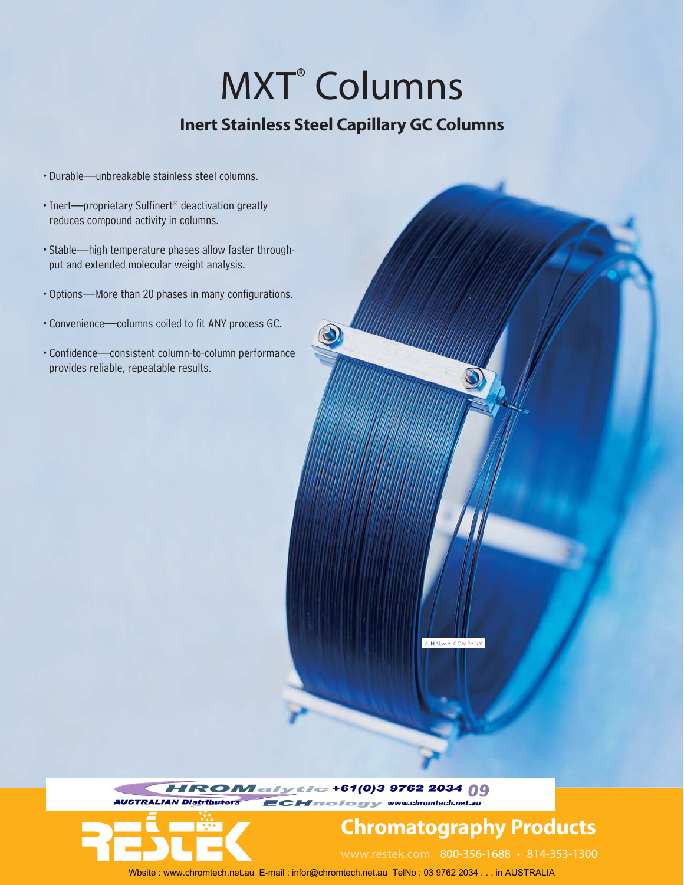# MXT® Columns

## **Inert Stainless Steel Capillary GC Columns**

- •Durable—unbreakable stainless steel columns.
- •Inert—proprietary Sulfinert® deactivation greatly reduces compound activity in columns.
- •Stable—high temperature phases allow faster throughput and extended molecular weight analysis.
- •Options—More than 20 phases in many configurations.
- •Convenience—columns coiled to fit ANY process GC.
- •Confidence—consistent column-to-column performance provides reliable, repeatable results.

A HALMA COMPANY

 $= +61(0)39762203409$ r & f & gr y- www.chromtech.net.au **AUSTRALIAN Dis** 



# **Chromatography Products**

www.restek.com 800-356-1688 • 814-353-1300

Wbsite : www.chromtech.net.au E-mail : infor@chromtech.net.au TelNo : 03 9762 2034 . . . in AUSTRALIA